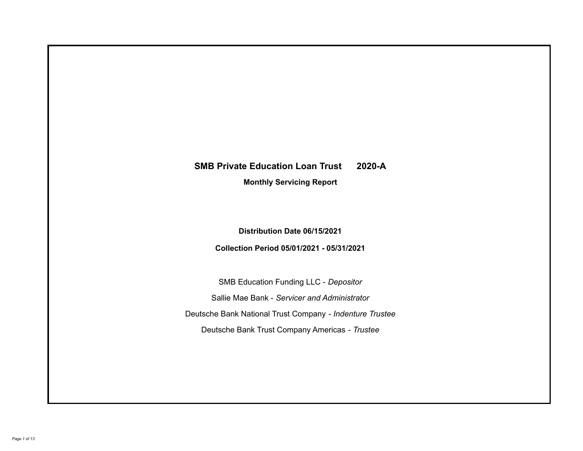# **SMB Private Education Loan Trust 2020-A**

**Monthly Servicing Report**

**Distribution Date 06/15/2021**

**Collection Period 05/01/2021 - 05/31/2021**

SMB Education Funding LLC - *Depositor* Sallie Mae Bank - *Servicer and Administrator* Deutsche Bank National Trust Company - *Indenture Trustee* Deutsche Bank Trust Company Americas - *Trustee*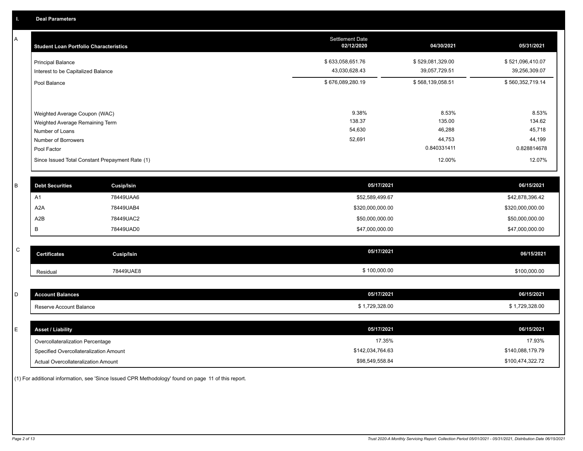A

| <b>Student Loan Portfolio Characteristics</b>                                                                             | <b>Settlement Date</b><br>02/12/2020 | 04/30/2021                                         | 05/31/2021                                         |
|---------------------------------------------------------------------------------------------------------------------------|--------------------------------------|----------------------------------------------------|----------------------------------------------------|
| <b>Principal Balance</b><br>Interest to be Capitalized Balance                                                            | \$633,058,651.76<br>43,030,628.43    | \$529,081,329.00<br>39,057,729.51                  | \$521,096,410.07<br>39,256,309.07                  |
| Pool Balance                                                                                                              | \$676,089,280.19                     | \$568,139,058.51                                   | \$560,352,719.14                                   |
| Weighted Average Coupon (WAC)<br>Weighted Average Remaining Term<br>Number of Loans<br>Number of Borrowers<br>Pool Factor | 9.38%<br>138.37<br>54,630<br>52,691  | 8.53%<br>135.00<br>46,288<br>44,753<br>0.840331411 | 8.53%<br>134.62<br>45,718<br>44,199<br>0.828814678 |
| Since Issued Total Constant Prepayment Rate (1)                                                                           |                                      | 12.00%                                             | 12.07%                                             |

| <b>Debt Securities</b> | <b>Cusip/Isin</b> | 05/17/2021       | 06/15/2021       |
|------------------------|-------------------|------------------|------------------|
| A <sup>T</sup>         | 78449UAA6         | \$52,589,499.67  | \$42,878,396.42  |
| A2A                    | 78449UAB4         | \$320,000,000.00 | \$320,000,000.00 |
| A2B                    | 78449UAC2         | \$50,000,000.00  | \$50,000,000.00  |
|                        | 78449UAD0         | \$47,000,000.00  | \$47,000,000.00  |

| <b>Jertificates</b> | Cusip/Isin | 05/17/2021   | 06/15/2021   |
|---------------------|------------|--------------|--------------|
| Residual            | 78449UAE8  | \$100,000.00 | \$100,000.00 |

| D  | <b>Account Balances</b>  | 05/17/2021     | 06/15/2021     |
|----|--------------------------|----------------|----------------|
|    | Reserve Account Balance  | \$1,729,328.00 | \$1,729,328.00 |
|    |                          |                |                |
| E. | <b>Asset / Liability</b> | 05/17/2021     | 06/15/2021     |

| Overcollateralization Percentage       | 17.35%           | 17.93%           |
|----------------------------------------|------------------|------------------|
| Specified Overcollateralization Amount | \$142.034.764.63 | \$140,088,179.79 |
| Actual Overcollateralization Amount    | \$98,549,558.84  | \$100,474,322.72 |

(1) For additional information, see 'Since Issued CPR Methodology' found on page 11 of this report.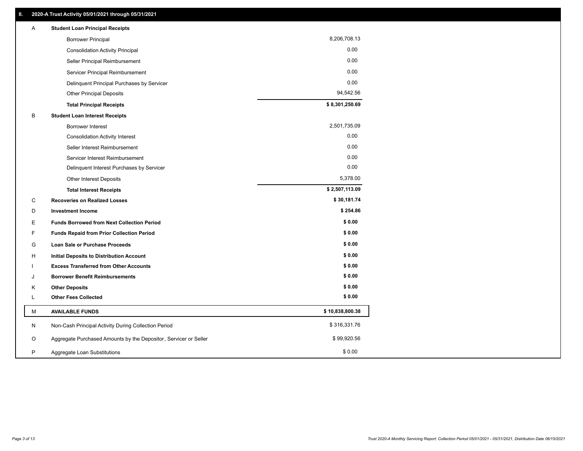| Α | <b>Student Loan Principal Receipts</b>                           |                 |  |
|---|------------------------------------------------------------------|-----------------|--|
|   | <b>Borrower Principal</b>                                        | 8,206,708.13    |  |
|   | <b>Consolidation Activity Principal</b>                          | 0.00            |  |
|   | Seller Principal Reimbursement                                   | 0.00            |  |
|   | Servicer Principal Reimbursement                                 | 0.00            |  |
|   | Delinquent Principal Purchases by Servicer                       | 0.00            |  |
|   | <b>Other Principal Deposits</b>                                  | 94,542.56       |  |
|   | <b>Total Principal Receipts</b>                                  | \$8,301,250.69  |  |
| В | <b>Student Loan Interest Receipts</b>                            |                 |  |
|   | <b>Borrower Interest</b>                                         | 2,501,735.09    |  |
|   | <b>Consolidation Activity Interest</b>                           | 0.00            |  |
|   | Seller Interest Reimbursement                                    | 0.00            |  |
|   | Servicer Interest Reimbursement                                  | 0.00            |  |
|   | Delinquent Interest Purchases by Servicer                        | 0.00            |  |
|   | Other Interest Deposits                                          | 5,378.00        |  |
|   | <b>Total Interest Receipts</b>                                   | \$2,507,113.09  |  |
| С | <b>Recoveries on Realized Losses</b>                             | \$30,181.74     |  |
| D | <b>Investment Income</b>                                         | \$254.86        |  |
| Е | <b>Funds Borrowed from Next Collection Period</b>                | \$0.00          |  |
| F | <b>Funds Repaid from Prior Collection Period</b>                 | \$0.00          |  |
| G | Loan Sale or Purchase Proceeds                                   | \$0.00          |  |
| н | Initial Deposits to Distribution Account                         | \$0.00          |  |
|   | <b>Excess Transferred from Other Accounts</b>                    | \$0.00          |  |
| J | <b>Borrower Benefit Reimbursements</b>                           | \$0.00          |  |
| Κ | <b>Other Deposits</b>                                            | \$0.00          |  |
| L | <b>Other Fees Collected</b>                                      | \$0.00          |  |
| М | <b>AVAILABLE FUNDS</b>                                           | \$10,838,800.38 |  |
| N | Non-Cash Principal Activity During Collection Period             | \$316,331.76    |  |
| O | Aggregate Purchased Amounts by the Depositor, Servicer or Seller | \$99,920.56     |  |
| P | Aggregate Loan Substitutions                                     | \$0.00          |  |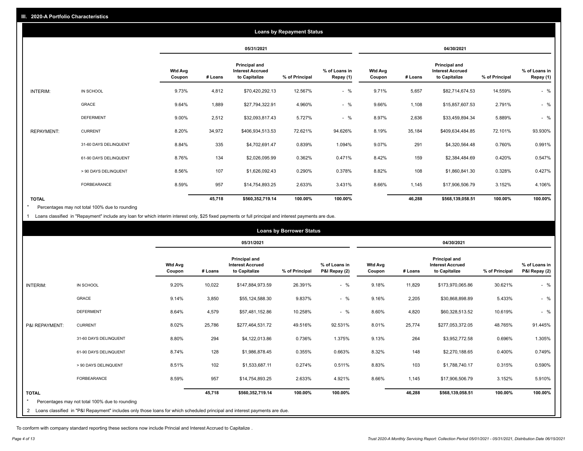|                   |                       |                          |         |                                                           | <b>Loans by Repayment Status</b> |                            |                          |         |                                                           |                |                            |
|-------------------|-----------------------|--------------------------|---------|-----------------------------------------------------------|----------------------------------|----------------------------|--------------------------|---------|-----------------------------------------------------------|----------------|----------------------------|
|                   |                       |                          |         | 05/31/2021                                                |                                  |                            |                          |         | 04/30/2021                                                |                |                            |
|                   |                       | <b>Wtd Avg</b><br>Coupon | # Loans | Principal and<br><b>Interest Accrued</b><br>to Capitalize | % of Principal                   | % of Loans in<br>Repay (1) | <b>Wtd Avg</b><br>Coupon | # Loans | Principal and<br><b>Interest Accrued</b><br>to Capitalize | % of Principal | % of Loans in<br>Repay (1) |
| INTERIM:          | IN SCHOOL             | 9.73%                    | 4,812   | \$70,420,292.13                                           | 12.567%                          | $-$ %                      | 9.71%                    | 5,657   | \$82,714,674.53                                           | 14.559%        | $-$ %                      |
|                   | GRACE                 | 9.64%                    | 1,889   | \$27,794,322.91                                           | 4.960%                           | $-$ %                      | 9.66%                    | 1,108   | \$15,857,607.53                                           | 2.791%         | $-$ %                      |
|                   | <b>DEFERMENT</b>      | 9.00%                    | 2,512   | \$32,093,817.43                                           | 5.727%                           | $-$ %                      | 8.97%                    | 2,636   | \$33,459,894.34                                           | 5.889%         | $-$ %                      |
| <b>REPAYMENT:</b> | <b>CURRENT</b>        | 8.20%                    | 34,972  | \$406,934,513.53                                          | 72.621%                          | 94.626%                    | 8.19%                    | 35,184  | \$409,634,484.85                                          | 72.101%        | 93.930%                    |
|                   | 31-60 DAYS DELINQUENT | 8.84%                    | 335     | \$4,702,691.47                                            | 0.839%                           | 1.094%                     | 9.07%                    | 291     | \$4,320,564.48                                            | 0.760%         | 0.991%                     |
|                   | 61-90 DAYS DELINQUENT | 8.76%                    | 134     | \$2,026,095.99                                            | 0.362%                           | 0.471%                     | 8.42%                    | 159     | \$2,384,484.69                                            | 0.420%         | 0.547%                     |
|                   | > 90 DAYS DELINQUENT  | 8.56%                    | 107     | \$1,626,092.43                                            | 0.290%                           | 0.378%                     | 8.82%                    | 108     | \$1,860,841.30                                            | 0.328%         | 0.427%                     |
|                   | <b>FORBEARANCE</b>    | 8.59%                    | 957     | \$14,754,893.25                                           | 2.633%                           | 3.431%                     | 8.66%                    | 1,145   | \$17,906,506.79                                           | 3.152%         | 4.106%                     |
| <b>TOTAL</b>      |                       |                          | 45,718  | \$560,352,719.14                                          | 100.00%                          | 100.00%                    |                          | 46,288  | \$568,139,058.51                                          | 100.00%        | 100.00%                    |

Percentages may not total 100% due to rounding  $\pmb{\ast}$ 

1 Loans classified in "Repayment" include any loan for which interim interest only, \$25 fixed payments or full principal and interest payments are due.

|                |                                                                                                                              |                          |         |                                                                  | <b>Loans by Borrower Status</b> |                                |                          |         |                                                           |                |                                |
|----------------|------------------------------------------------------------------------------------------------------------------------------|--------------------------|---------|------------------------------------------------------------------|---------------------------------|--------------------------------|--------------------------|---------|-----------------------------------------------------------|----------------|--------------------------------|
|                |                                                                                                                              |                          |         | 05/31/2021                                                       |                                 |                                |                          |         | 04/30/2021                                                |                |                                |
|                |                                                                                                                              | <b>Wtd Avg</b><br>Coupon | # Loans | <b>Principal and</b><br><b>Interest Accrued</b><br>to Capitalize | % of Principal                  | % of Loans in<br>P&I Repay (2) | <b>Wtd Avg</b><br>Coupon | # Loans | Principal and<br><b>Interest Accrued</b><br>to Capitalize | % of Principal | % of Loans in<br>P&I Repay (2) |
| INTERIM:       | IN SCHOOL                                                                                                                    | 9.20%                    | 10,022  | \$147,884,973.59                                                 | 26.391%                         | $-$ %                          | 9.18%                    | 11,829  | \$173,970,065.86                                          | 30.621%        | $-$ %                          |
|                | <b>GRACE</b>                                                                                                                 | 9.14%                    | 3,850   | \$55,124,588.30                                                  | 9.837%                          | $-$ %                          | 9.16%                    | 2,205   | \$30,868,898.89                                           | 5.433%         | $-$ %                          |
|                | <b>DEFERMENT</b>                                                                                                             | 8.64%                    | 4,579   | \$57,481,152.86                                                  | 10.258%                         | $-$ %                          | 8.60%                    | 4,820   | \$60,328,513.52                                           | 10.619%        | $-$ %                          |
| P&I REPAYMENT: | <b>CURRENT</b>                                                                                                               | 8.02%                    | 25,786  | \$277,464,531.72                                                 | 49.516%                         | 92.531%                        | 8.01%                    | 25,774  | \$277,053,372.05                                          | 48.765%        | 91.445%                        |
|                | 31-60 DAYS DELINQUENT                                                                                                        | 8.80%                    | 294     | \$4,122,013.86                                                   | 0.736%                          | 1.375%                         | 9.13%                    | 264     | \$3,952,772.58                                            | 0.696%         | 1.305%                         |
|                | 61-90 DAYS DELINQUENT                                                                                                        | 8.74%                    | 128     | \$1,986,878.45                                                   | 0.355%                          | 0.663%                         | 8.32%                    | 148     | \$2,270,188.65                                            | 0.400%         | 0.749%                         |
|                | > 90 DAYS DELINQUENT                                                                                                         | 8.51%                    | 102     | \$1,533,687.11                                                   | 0.274%                          | 0.511%                         | 8.83%                    | 103     | \$1,788,740.17                                            | 0.315%         | 0.590%                         |
|                | FORBEARANCE                                                                                                                  | 8.59%                    | 957     | \$14,754,893.25                                                  | 2.633%                          | 4.921%                         | 8.66%                    | 1,145   | \$17,906,506.79                                           | 3.152%         | 5.910%                         |
| <b>TOTAL</b>   | Percentages may not total 100% due to rounding                                                                               |                          | 45,718  | \$560,352,719.14                                                 | 100.00%                         | 100.00%                        |                          | 46,288  | \$568,139,058.51                                          | 100.00%        | 100.00%                        |
|                | 2 Loans classified in "P&I Repayment" includes only those loans for which scheduled principal and interest payments are due. |                          |         |                                                                  |                                 |                                |                          |         |                                                           |                |                                |

To conform with company standard reporting these sections now include Princial and Interest Accrued to Capitalize .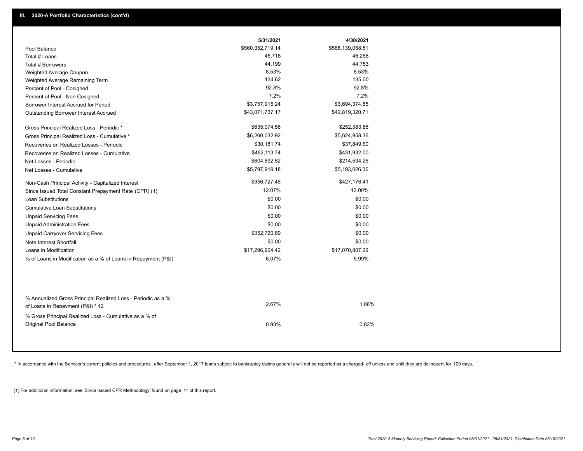|                                                                                                  | 5/31/2021        | 4/30/2021        |
|--------------------------------------------------------------------------------------------------|------------------|------------------|
| Pool Balance                                                                                     | \$560,352,719.14 | \$568,139,058.51 |
| Total # Loans                                                                                    | 45,718           | 46,288           |
| Total # Borrowers                                                                                | 44,199           | 44,753           |
| Weighted Average Coupon                                                                          | 8.53%            | 8.53%            |
| Weighted Average Remaining Term                                                                  | 134.62           | 135.00           |
| Percent of Pool - Cosigned                                                                       | 92.8%            | 92.8%            |
| Percent of Pool - Non Cosigned                                                                   | 7.2%             | 7.2%             |
| Borrower Interest Accrued for Period                                                             | \$3,757,915.24   | \$3,694,374.85   |
| Outstanding Borrower Interest Accrued                                                            | \$43,071,737.17  | \$42,819,320.71  |
| Gross Principal Realized Loss - Periodic *                                                       | \$635,074.56     | \$252,383.86     |
| Gross Principal Realized Loss - Cumulative *                                                     | \$6,260,032.92   | \$5,624,958.36   |
| Recoveries on Realized Losses - Periodic                                                         | \$30,181.74      | \$37,849.60      |
| Recoveries on Realized Losses - Cumulative                                                       | \$462,113.74     | \$431,932.00     |
| Net Losses - Periodic                                                                            | \$604,892.82     | \$214,534.26     |
| Net Losses - Cumulative                                                                          | \$5,797,919.18   | \$5,193,026.36   |
| Non-Cash Principal Activity - Capitalized Interest                                               | \$956,727.46     | \$427,176.41     |
| Since Issued Total Constant Prepayment Rate (CPR) (1)                                            | 12.07%           | 12.00%           |
| <b>Loan Substitutions</b>                                                                        | \$0.00           | \$0.00           |
| <b>Cumulative Loan Substitutions</b>                                                             | \$0.00           | \$0.00           |
| <b>Unpaid Servicing Fees</b>                                                                     | \$0.00           | \$0.00           |
| <b>Unpaid Administration Fees</b>                                                                | \$0.00           | \$0.00           |
| <b>Unpaid Carryover Servicing Fees</b>                                                           | \$352,720.89     | \$0.00           |
| Note Interest Shortfall                                                                          | \$0.00           | \$0.00           |
| Loans in Modification                                                                            | \$17,296,904.42  | \$17,070,807.29  |
| % of Loans in Modification as a % of Loans in Repayment (P&I)                                    | 6.07%            | 5.99%            |
| % Annualized Gross Principal Realized Loss - Periodic as a %<br>of Loans in Repayment (P&I) * 12 | 2.67%            | 1.06%            |
| % Gross Principal Realized Loss - Cumulative as a % of                                           |                  |                  |
| <b>Original Pool Balance</b>                                                                     | 0.93%            | 0.83%            |

\* In accordance with the Servicer's current policies and procedures, after September 1, 2017 loans subject to bankruptcy claims generally will not be reported as a charged- off unless and until they are delinquent for 120

(1) For additional information, see 'Since Issued CPR Methodology' found on page 11 of this report.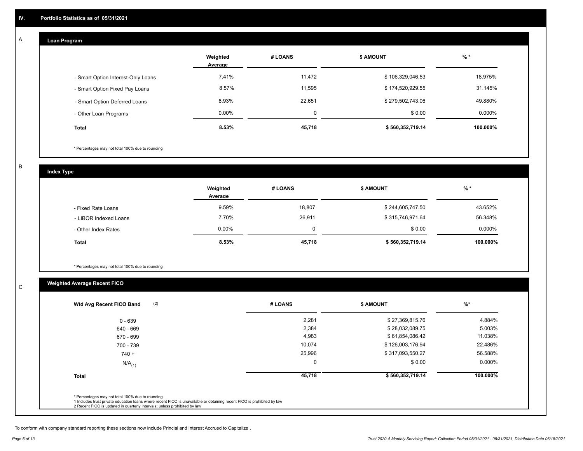## **Loan Program**

A

|                                    | Weighted<br>Average | # LOANS | <b>\$ AMOUNT</b> | $%$ *     |
|------------------------------------|---------------------|---------|------------------|-----------|
| - Smart Option Interest-Only Loans | 7.41%               | 11,472  | \$106,329,046.53 | 18.975%   |
| - Smart Option Fixed Pay Loans     | 8.57%               | 11,595  | \$174,520,929.55 | 31.145%   |
| - Smart Option Deferred Loans      | 8.93%               | 22,651  | \$279,502,743.06 | 49.880%   |
| - Other Loan Programs              | $0.00\%$            | 0       | \$0.00           | $0.000\%$ |
| <b>Total</b>                       | 8.53%               | 45,718  | \$560,352,719.14 | 100.000%  |

\* Percentages may not total 100% due to rounding

B

C

**Index Type**

|                       | Weighted<br>Average | # LOANS | <b>\$ AMOUNT</b> | % *      |
|-----------------------|---------------------|---------|------------------|----------|
| - Fixed Rate Loans    | 9.59%               | 18,807  | \$244,605,747.50 | 43.652%  |
| - LIBOR Indexed Loans | 7.70%               | 26,911  | \$315,746,971.64 | 56.348%  |
| - Other Index Rates   | 0.00%               | 0       | \$0.00           | 0.000%   |
| <b>Total</b>          | 8.53%               | 45,718  | \$560,352,719.14 | 100.000% |

\* Percentages may not total 100% due to rounding

# **Weighted Average Recent FICO**

| Wtd Avg Recent FICO Band | # LOANS | <b>\$ AMOUNT</b> | $\frac{9}{6}$ * |
|--------------------------|---------|------------------|-----------------|
| $0 - 639$                | 2,281   | \$27,369,815.76  | 4.884%          |
| 640 - 669                | 2,384   | \$28,032,089.75  | 5.003%          |
| 670 - 699                | 4,983   | \$61,854,086.42  | 11.038%         |
| 700 - 739                | 10.074  | \$126,003,176.94 | 22.486%         |
| $740 +$                  | 25,996  | \$317,093,550.27 | 56.588%         |
| $N/A$ <sub>(1)</sub>     | 0       | \$0.00           | 0.000%          |
| <b>Total</b>             | 45,718  | \$560,352,719.14 | 100.000%        |
|                          |         |                  |                 |

To conform with company standard reporting these sections now include Princial and Interest Accrued to Capitalize .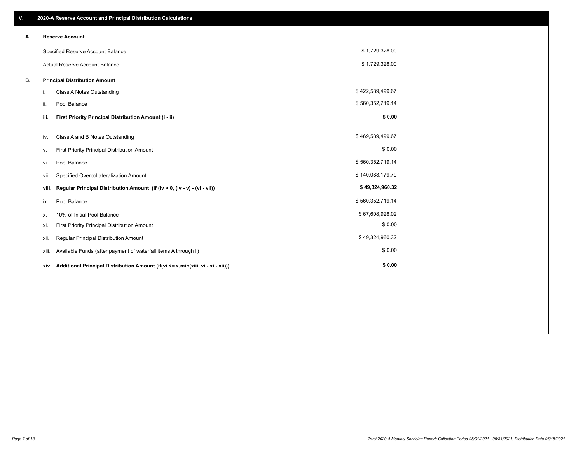| V. |       | 2020-A Reserve Account and Principal Distribution Calculations                       |                  |  |
|----|-------|--------------------------------------------------------------------------------------|------------------|--|
| А. |       | <b>Reserve Account</b>                                                               |                  |  |
|    |       | Specified Reserve Account Balance                                                    | \$1,729,328.00   |  |
|    |       | Actual Reserve Account Balance                                                       | \$1,729,328.00   |  |
| В. |       | <b>Principal Distribution Amount</b>                                                 |                  |  |
|    | i.    | Class A Notes Outstanding                                                            | \$422,589,499.67 |  |
|    | ii.   | Pool Balance                                                                         | \$560,352,719.14 |  |
|    | iii.  | First Priority Principal Distribution Amount (i - ii)                                | \$0.00           |  |
|    | iv.   | Class A and B Notes Outstanding                                                      | \$469,589,499.67 |  |
|    | ۷.    | First Priority Principal Distribution Amount                                         | \$0.00           |  |
|    | vi.   | Pool Balance                                                                         | \$560,352,719.14 |  |
|    | vii.  | Specified Overcollateralization Amount                                               | \$140,088,179.79 |  |
|    | viii. | Regular Principal Distribution Amount (if (iv > 0, (iv - v) - (vi - vii))            | \$49,324,960.32  |  |
|    | ix.   | Pool Balance                                                                         | \$560,352,719.14 |  |
|    | х.    | 10% of Initial Pool Balance                                                          | \$67,608,928.02  |  |
|    | xi.   | First Priority Principal Distribution Amount                                         | \$0.00           |  |
|    | xii.  | Regular Principal Distribution Amount                                                | \$49,324,960.32  |  |
|    | xiii. | Available Funds (after payment of waterfall items A through I)                       | \$0.00           |  |
|    |       | xiv. Additional Principal Distribution Amount (if(vi <= x,min(xiii, vi - xi - xii))) | \$0.00           |  |
|    |       |                                                                                      |                  |  |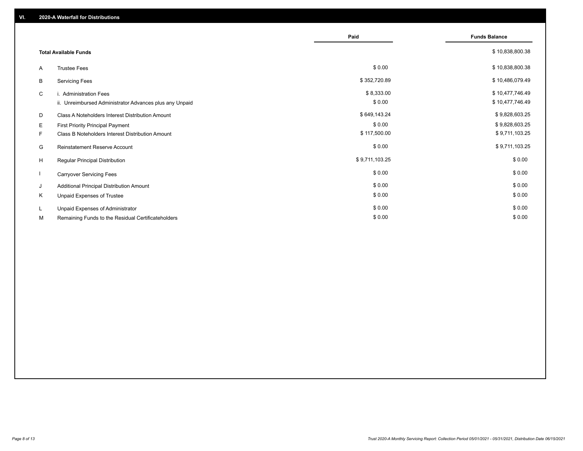|    |                                                         | Paid           | <b>Funds Balance</b> |
|----|---------------------------------------------------------|----------------|----------------------|
|    |                                                         |                |                      |
|    | <b>Total Available Funds</b>                            |                | \$10,838,800.38      |
| A  | <b>Trustee Fees</b>                                     | \$0.00         | \$10,838,800.38      |
| B  | <b>Servicing Fees</b>                                   | \$352,720.89   | \$10,486,079.49      |
| C  | i. Administration Fees                                  | \$8,333.00     | \$10,477,746.49      |
|    | ii. Unreimbursed Administrator Advances plus any Unpaid | \$0.00         | \$10,477,746.49      |
| D  | Class A Noteholders Interest Distribution Amount        | \$649,143.24   | \$9,828,603.25       |
| E. | First Priority Principal Payment                        | \$0.00         | \$9,828,603.25       |
| F. | Class B Noteholders Interest Distribution Amount        | \$117,500.00   | \$9,711,103.25       |
| G  | Reinstatement Reserve Account                           | \$0.00         | \$9,711,103.25       |
| H  | Regular Principal Distribution                          | \$9,711,103.25 | \$0.00               |
|    | <b>Carryover Servicing Fees</b>                         | \$0.00         | \$0.00               |
| J  | Additional Principal Distribution Amount                | \$0.00         | \$0.00               |
| K  | Unpaid Expenses of Trustee                              | \$0.00         | \$0.00               |
| L. | Unpaid Expenses of Administrator                        | \$0.00         | \$0.00               |
| М  | Remaining Funds to the Residual Certificateholders      | \$0.00         | \$0.00               |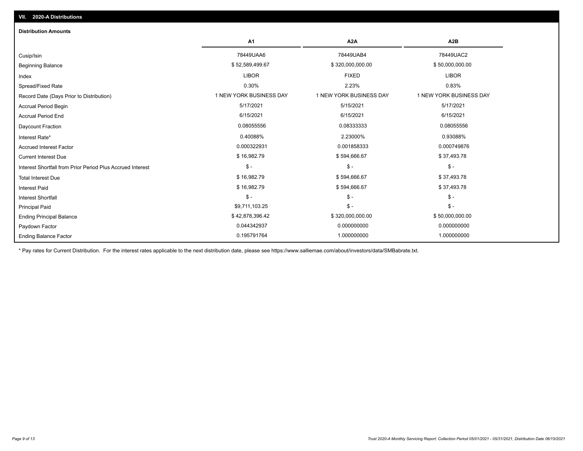| <b>Distribution Amounts</b>                                |                         |                         |                         |
|------------------------------------------------------------|-------------------------|-------------------------|-------------------------|
|                                                            | A <sub>1</sub>          | A2A                     | A <sub>2</sub> B        |
| Cusip/Isin                                                 | 78449UAA6               | 78449UAB4               | 78449UAC2               |
| <b>Beginning Balance</b>                                   | \$52,589,499.67         | \$320,000,000.00        | \$50,000,000.00         |
| Index                                                      | <b>LIBOR</b>            | <b>FIXED</b>            | <b>LIBOR</b>            |
| Spread/Fixed Rate                                          | 0.30%                   | 2.23%                   | 0.83%                   |
| Record Date (Days Prior to Distribution)                   | 1 NEW YORK BUSINESS DAY | 1 NEW YORK BUSINESS DAY | 1 NEW YORK BUSINESS DAY |
| <b>Accrual Period Begin</b>                                | 5/17/2021               | 5/15/2021               | 5/17/2021               |
| <b>Accrual Period End</b>                                  | 6/15/2021               | 6/15/2021               | 6/15/2021               |
| Daycount Fraction                                          | 0.08055556              | 0.08333333              | 0.08055556              |
| Interest Rate*                                             | 0.40088%                | 2.23000%                | 0.93088%                |
| <b>Accrued Interest Factor</b>                             | 0.000322931             | 0.001858333             | 0.000749876             |
| <b>Current Interest Due</b>                                | \$16,982.79             | \$594,666.67            | \$37,493.78             |
| Interest Shortfall from Prior Period Plus Accrued Interest | $\mathsf{\$}$ -         | $\mathsf{\$}$ -         | $$ -$                   |
| <b>Total Interest Due</b>                                  | \$16,982.79             | \$594,666.67            | \$37,493.78             |
| <b>Interest Paid</b>                                       | \$16,982.79             | \$594,666.67            | \$37,493.78             |
| <b>Interest Shortfall</b>                                  | $\mathsf{\$}$ -         | $\mathsf{\$}$ -         | $\mathsf{\$}$ -         |
| <b>Principal Paid</b>                                      | \$9,711,103.25          | $\mathsf{\$}$ -         | $$ -$                   |
| <b>Ending Principal Balance</b>                            | \$42,878,396.42         | \$320,000,000.00        | \$50,000,000.00         |
| Paydown Factor                                             | 0.044342937             | 0.000000000             | 0.000000000             |
| <b>Ending Balance Factor</b>                               | 0.195791764             | 1.000000000             | 1.000000000             |

\* Pay rates for Current Distribution. For the interest rates applicable to the next distribution date, please see https://www.salliemae.com/about/investors/data/SMBabrate.txt.

**VII. 2020-A Distributions**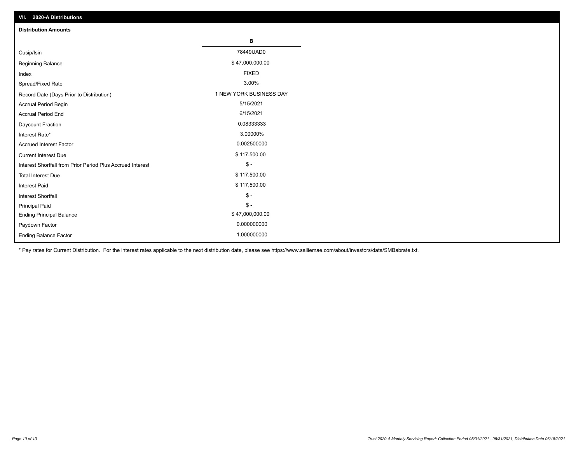| VII. 2020-A Distributions                                  |                         |
|------------------------------------------------------------|-------------------------|
| <b>Distribution Amounts</b>                                |                         |
|                                                            | В                       |
| Cusip/Isin                                                 | 78449UAD0               |
| <b>Beginning Balance</b>                                   | \$47,000,000.00         |
| Index                                                      | <b>FIXED</b>            |
| Spread/Fixed Rate                                          | 3.00%                   |
| Record Date (Days Prior to Distribution)                   | 1 NEW YORK BUSINESS DAY |
| Accrual Period Begin                                       | 5/15/2021               |
| <b>Accrual Period End</b>                                  | 6/15/2021               |
| Daycount Fraction                                          | 0.08333333              |
| Interest Rate*                                             | 3.00000%                |
| <b>Accrued Interest Factor</b>                             | 0.002500000             |
| <b>Current Interest Due</b>                                | \$117,500.00            |
| Interest Shortfall from Prior Period Plus Accrued Interest | $\mathcal{S}$ -         |
| <b>Total Interest Due</b>                                  | \$117,500.00            |
| <b>Interest Paid</b>                                       | \$117,500.00            |
| Interest Shortfall                                         | $\mathcal{S}$ -         |
| <b>Principal Paid</b>                                      | $\frac{1}{2}$           |
| <b>Ending Principal Balance</b>                            | \$47,000,000.00         |
| Paydown Factor                                             | 0.000000000             |
| <b>Ending Balance Factor</b>                               | 1.000000000             |

\* Pay rates for Current Distribution. For the interest rates applicable to the next distribution date, please see https://www.salliemae.com/about/investors/data/SMBabrate.txt.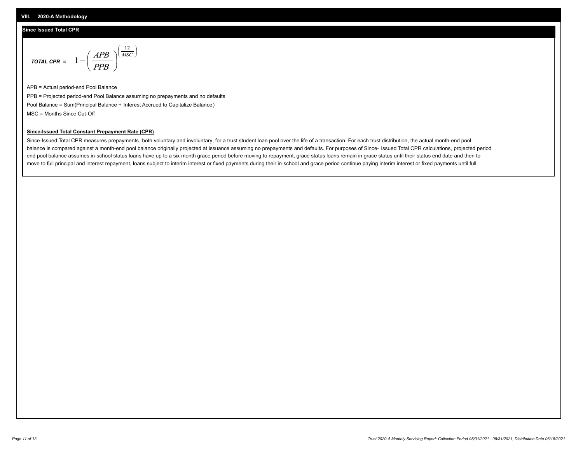#### **Since Issued Total CPR**

$$
\text{total CPR} = 1 - \left(\frac{APB}{PPB}\right)^{\left(\frac{12}{MSC}\right)}
$$

APB = Actual period-end Pool Balance PPB = Projected period-end Pool Balance assuming no prepayments and no defaults Pool Balance = Sum(Principal Balance + Interest Accrued to Capitalize Balance) MSC = Months Since Cut-Off

#### **Since-Issued Total Constant Prepayment Rate (CPR)**

Since-Issued Total CPR measures prepayments, both voluntary and involuntary, for a trust student loan pool over the life of a transaction. For each trust distribution, the actual month-end pool balance is compared against a month-end pool balance originally projected at issuance assuming no prepayments and defaults. For purposes of Since- Issued Total CPR calculations, projected period end pool balance assumes in-school status loans have up to a six month grace period before moving to repayment, grace status loans remain in grace status until their status end date and then to move to full principal and interest repayment, loans subject to interim interest or fixed payments during their in-school and grace period continue paying interim interest or fixed payments until full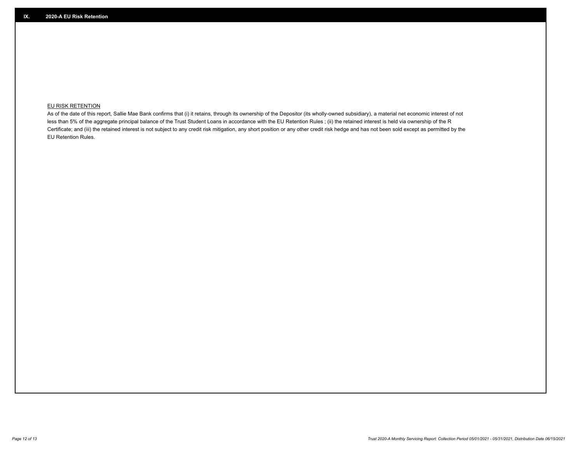## **EU RISK RETENTION**

As of the date of this report, Sallie Mae Bank confirms that (i) it retains, through its ownership of the Depositor (its wholly-owned subsidiary), a material net economic interest of not less than 5% of the aggregate principal balance of the Trust Student Loans in accordance with the EU Retention Rules ; (ii) the retained interest is held via ownership of the R Certificate; and (iii) the retained interest is not subject to any credit risk mitigation, any short position or any other credit risk hedge and has not been sold except as permitted by the EU Retention Rules.